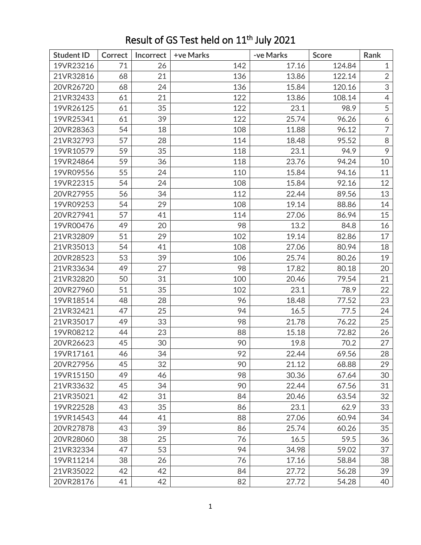| <b>Student ID</b> | <b>Correct</b> | Incorrect | +ve Marks | -ve Marks | <b>Score</b> | Rank           |
|-------------------|----------------|-----------|-----------|-----------|--------------|----------------|
| 19VR23216         | 71             | 26        | 142       | 17.16     | 124.84       | $\mathbf{1}$   |
| 21VR32816         | 68             | 21        | 136       | 13.86     | 122.14       | $\overline{2}$ |
| 20VR26720         | 68             | 24        | 136       | 15.84     | 120.16       | 3              |
| 21VR32433         | 61             | 21        | 122       | 13.86     | 108.14       | $\overline{4}$ |
| 19VR26125         | 61             | 35        | 122       | 23.1      | 98.9         | 5              |
| 19VR25341         | 61             | 39        | 122       | 25.74     | 96.26        | 6              |
| 20VR28363         | 54             | 18        | 108       | 11.88     | 96.12        | $\overline{7}$ |
| 21VR32793         | 57             | 28        | 114       | 18.48     | 95.52        | 8              |
| 19VR10579         | 59             | 35        | 118       | 23.1      | 94.9         | 9              |
| 19VR24864         | 59             | 36        | 118       | 23.76     | 94.24        | 10             |
| 19VR09556         | 55             | 24        | 110       | 15.84     | 94.16        | 11             |
| 19VR22315         | 54             | 24        | 108       | 15.84     | 92.16        | 12             |
| 20VR27955         | 56             | 34        | 112       | 22.44     | 89.56        | 13             |
| 19VR09253         | 54             | 29        | 108       | 19.14     | 88.86        | 14             |
| 20VR27941         | 57             | 41        | 114       | 27.06     | 86.94        | 15             |
| 19VR00476         | 49             | 20        | 98        | 13.2      | 84.8         | 16             |
| 21VR32809         | 51             | 29        | 102       | 19.14     | 82.86        | 17             |
| 21VR35013         | 54             | 41        | 108       | 27.06     | 80.94        | 18             |
| 20VR28523         | 53             | 39        | 106       | 25.74     | 80.26        | 19             |
| 21VR33634         | 49             | 27        | 98        | 17.82     | 80.18        | 20             |
| 21VR32820         | 50             | 31        | 100       | 20.46     | 79.54        | 21             |
| 20VR27960         | 51             | 35        | 102       | 23.1      | 78.9         | 22             |
| 19VR18514         | 48             | 28        | 96        | 18.48     | 77.52        | 23             |
| 21VR32421         | 47             | 25        | 94        | 16.5      | 77.5         | 24             |
| 21VR35017         | 49             | 33        | 98        | 21.78     | 76.22        | 25             |
| 19VR08212         | 44             | 23        | 88        | 15.18     | 72.82        | 26             |
| 20VR26623         | 45             | 30        | 90        | 19.8      | 70.2         | 27             |
| 19VR17161         | 46             | 34        | 92        | 22.44     | 69.56        | 28             |
| 20VR27956         | 45             | 32        | 90        | 21.12     | 68.88        | 29             |
| 19VR15150         | 49             | 46        | 98        | 30.36     | 67.64        | 30             |
| 21VR33632         | 45             | 34        | 90        | 22.44     | 67.56        | 31             |
| 21VR35021         | 42             | 31        | 84        | 20.46     | 63.54        | 32             |
| 19VR22528         | 43             | 35        | 86        | 23.1      | 62.9         | 33             |
| 19VR14543         | 44             | 41        | 88        | 27.06     | 60.94        | 34             |
| 20VR27878         | 43             | 39        | 86        | 25.74     | 60.26        | 35             |
| 20VR28060         | 38             | 25        | 76        | 16.5      | 59.5         | 36             |
| 21VR32334         | 47             | 53        | 94        | 34.98     | 59.02        | 37             |
| 19VR11214         | 38             | 26        | 76        | 17.16     | 58.84        | 38             |
| 21VR35022         | 42             | 42        | 84        | 27.72     | 56.28        | 39             |
| 20VR28176         | 41             | 42        | 82        | 27.72     | 54.28        | 40             |

## Result of GS Test held on 11<sup>th</sup> July 2021